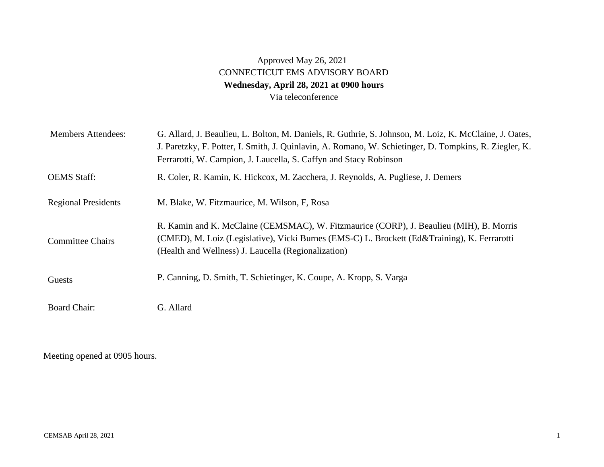## Approved May 26, 2021 CONNECTICUT EMS ADVISORY BOARD **Wednesday, April 28, 2021 at 0900 hours**  Via teleconference

| <b>Members Attendees:</b>  | G. Allard, J. Beaulieu, L. Bolton, M. Daniels, R. Guthrie, S. Johnson, M. Loiz, K. McClaine, J. Oates,<br>J. Paretzky, F. Potter, I. Smith, J. Quinlavin, A. Romano, W. Schietinger, D. Tompkins, R. Ziegler, K.<br>Ferrarotti, W. Campion, J. Laucella, S. Caffyn and Stacy Robinson |
|----------------------------|---------------------------------------------------------------------------------------------------------------------------------------------------------------------------------------------------------------------------------------------------------------------------------------|
| <b>OEMS</b> Staff:         | R. Coler, R. Kamin, K. Hickcox, M. Zacchera, J. Reynolds, A. Pugliese, J. Demers                                                                                                                                                                                                      |
| <b>Regional Presidents</b> | M. Blake, W. Fitzmaurice, M. Wilson, F. Rosa                                                                                                                                                                                                                                          |
| <b>Committee Chairs</b>    | R. Kamin and K. McClaine (CEMSMAC), W. Fitzmaurice (CORP), J. Beaulieu (MIH), B. Morris<br>(CMED), M. Loiz (Legislative), Vicki Burnes (EMS-C) L. Brockett (Ed&Training), K. Ferrarotti<br>(Health and Wellness) J. Laucella (Regionalization)                                        |
| Guests                     | P. Canning, D. Smith, T. Schietinger, K. Coupe, A. Kropp, S. Varga                                                                                                                                                                                                                    |
| <b>Board Chair:</b>        | G. Allard                                                                                                                                                                                                                                                                             |

Meeting opened at 0905 hours.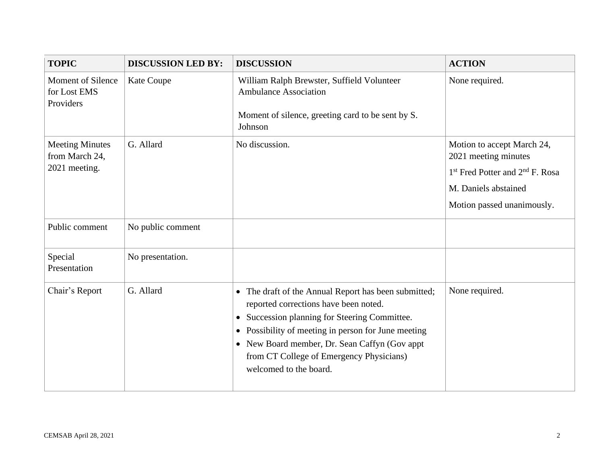| <b>TOPIC</b>                                              | <b>DISCUSSION LED BY:</b> | <b>DISCUSSION</b>                                                                                                                                                                                                                                                                                                                                   | <b>ACTION</b>                                                                                                                                                       |
|-----------------------------------------------------------|---------------------------|-----------------------------------------------------------------------------------------------------------------------------------------------------------------------------------------------------------------------------------------------------------------------------------------------------------------------------------------------------|---------------------------------------------------------------------------------------------------------------------------------------------------------------------|
| <b>Moment of Silence</b><br>for Lost EMS<br>Providers     | Kate Coupe                | William Ralph Brewster, Suffield Volunteer<br><b>Ambulance Association</b><br>Moment of silence, greeting card to be sent by S.<br>Johnson                                                                                                                                                                                                          | None required.                                                                                                                                                      |
| <b>Meeting Minutes</b><br>from March 24,<br>2021 meeting. | G. Allard                 | No discussion.                                                                                                                                                                                                                                                                                                                                      | Motion to accept March 24,<br>2021 meeting minutes<br>1 <sup>st</sup> Fred Potter and 2 <sup>nd</sup> F. Rosa<br>M. Daniels abstained<br>Motion passed unanimously. |
| Public comment                                            | No public comment         |                                                                                                                                                                                                                                                                                                                                                     |                                                                                                                                                                     |
| Special<br>Presentation                                   | No presentation.          |                                                                                                                                                                                                                                                                                                                                                     |                                                                                                                                                                     |
| Chair's Report                                            | G. Allard                 | • The draft of the Annual Report has been submitted;<br>reported corrections have been noted.<br>Succession planning for Steering Committee.<br>$\bullet$<br>Possibility of meeting in person for June meeting<br>$\bullet$<br>• New Board member, Dr. Sean Caffyn (Gov appt)<br>from CT College of Emergency Physicians)<br>welcomed to the board. | None required.                                                                                                                                                      |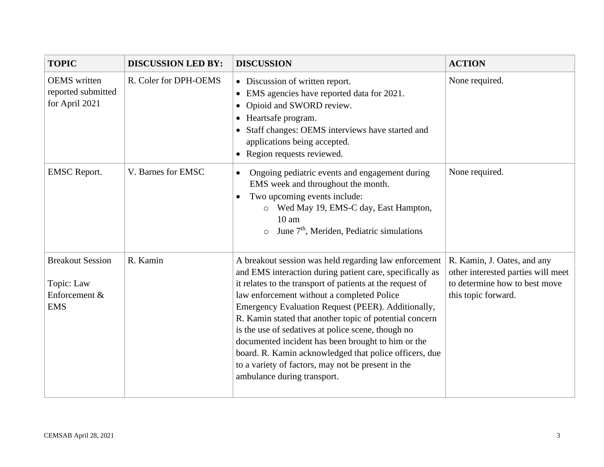| <b>TOPIC</b>                                                         | <b>DISCUSSION LED BY:</b> | <b>DISCUSSION</b>                                                                                                                                                                                                                                                                                                                                                                                                                                                                                                                                                                                        | <b>ACTION</b>                                                                                                             |
|----------------------------------------------------------------------|---------------------------|----------------------------------------------------------------------------------------------------------------------------------------------------------------------------------------------------------------------------------------------------------------------------------------------------------------------------------------------------------------------------------------------------------------------------------------------------------------------------------------------------------------------------------------------------------------------------------------------------------|---------------------------------------------------------------------------------------------------------------------------|
| <b>OEMS</b> written<br>reported submitted<br>for April 2021          | R. Coler for DPH-OEMS     | • Discussion of written report.<br>EMS agencies have reported data for 2021.<br>$\bullet$<br>Opioid and SWORD review.<br>$\bullet$<br>Heartsafe program.<br>$\bullet$<br>• Staff changes: OEMS interviews have started and<br>applications being accepted.<br>• Region requests reviewed.                                                                                                                                                                                                                                                                                                                | None required.                                                                                                            |
| <b>EMSC</b> Report.                                                  | V. Barnes for EMSC        | Ongoing pediatric events and engagement during<br>$\bullet$<br>EMS week and throughout the month.<br>Two upcoming events include:<br>$\bullet$<br>o Wed May 19, EMS-C day, East Hampton,<br>$10 \text{ am}$<br>June 7 <sup>th</sup> , Meriden, Pediatric simulations                                                                                                                                                                                                                                                                                                                                     | None required.                                                                                                            |
| <b>Breakout Session</b><br>Topic: Law<br>Enforcement &<br><b>EMS</b> | R. Kamin                  | A breakout session was held regarding law enforcement<br>and EMS interaction during patient care, specifically as<br>it relates to the transport of patients at the request of<br>law enforcement without a completed Police<br>Emergency Evaluation Request (PEER). Additionally,<br>R. Kamin stated that another topic of potential concern<br>is the use of sedatives at police scene, though no<br>documented incident has been brought to him or the<br>board. R. Kamin acknowledged that police officers, due<br>to a variety of factors, may not be present in the<br>ambulance during transport. | R. Kamin, J. Oates, and any<br>other interested parties will meet<br>to determine how to best move<br>this topic forward. |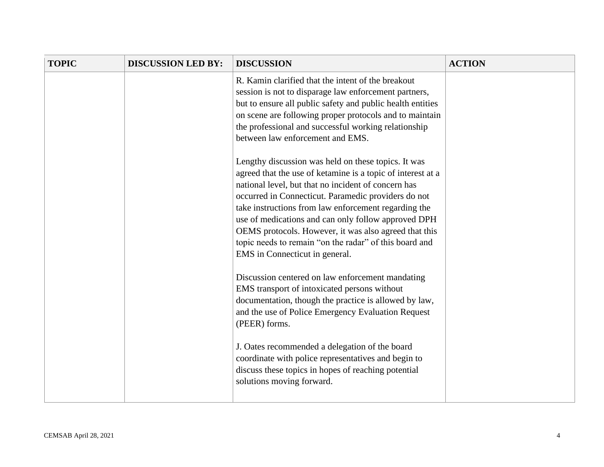| <b>TOPIC</b> | <b>DISCUSSION LED BY:</b> | <b>DISCUSSION</b>                                                                                                                                                                                                                                                                                                                                                                                                                                                                                    | <b>ACTION</b> |
|--------------|---------------------------|------------------------------------------------------------------------------------------------------------------------------------------------------------------------------------------------------------------------------------------------------------------------------------------------------------------------------------------------------------------------------------------------------------------------------------------------------------------------------------------------------|---------------|
|              |                           | R. Kamin clarified that the intent of the breakout<br>session is not to disparage law enforcement partners,<br>but to ensure all public safety and public health entities<br>on scene are following proper protocols and to maintain<br>the professional and successful working relationship<br>between law enforcement and EMS.                                                                                                                                                                     |               |
|              |                           | Lengthy discussion was held on these topics. It was<br>agreed that the use of ketamine is a topic of interest at a<br>national level, but that no incident of concern has<br>occurred in Connecticut. Paramedic providers do not<br>take instructions from law enforcement regarding the<br>use of medications and can only follow approved DPH<br>OEMS protocols. However, it was also agreed that this<br>topic needs to remain "on the radar" of this board and<br>EMS in Connecticut in general. |               |
|              |                           | Discussion centered on law enforcement mandating<br>EMS transport of intoxicated persons without<br>documentation, though the practice is allowed by law,<br>and the use of Police Emergency Evaluation Request<br>(PEER) forms.<br>J. Oates recommended a delegation of the board<br>coordinate with police representatives and begin to<br>discuss these topics in hopes of reaching potential<br>solutions moving forward.                                                                        |               |
|              |                           |                                                                                                                                                                                                                                                                                                                                                                                                                                                                                                      |               |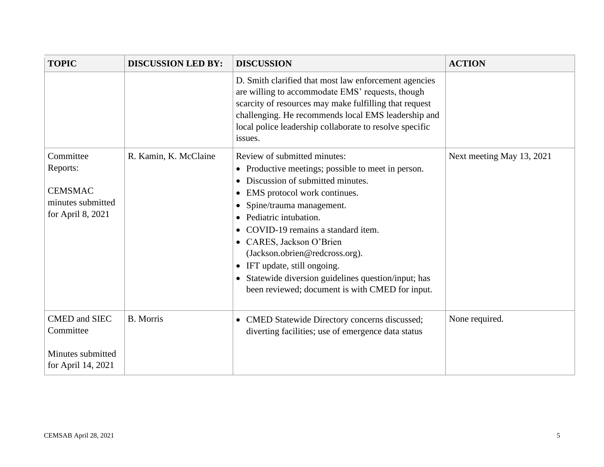| <b>TOPIC</b>                                                                      | <b>DISCUSSION LED BY:</b> | <b>DISCUSSION</b>                                                                                                                                                                                                                                                                                                                                                                                                                                                                                                                            | <b>ACTION</b>             |
|-----------------------------------------------------------------------------------|---------------------------|----------------------------------------------------------------------------------------------------------------------------------------------------------------------------------------------------------------------------------------------------------------------------------------------------------------------------------------------------------------------------------------------------------------------------------------------------------------------------------------------------------------------------------------------|---------------------------|
|                                                                                   |                           | D. Smith clarified that most law enforcement agencies<br>are willing to accommodate EMS' requests, though<br>scarcity of resources may make fulfilling that request<br>challenging. He recommends local EMS leadership and<br>local police leadership collaborate to resolve specific<br>issues.                                                                                                                                                                                                                                             |                           |
| Committee<br>Reports:<br><b>CEMSMAC</b><br>minutes submitted<br>for April 8, 2021 | R. Kamin, K. McClaine     | Review of submitted minutes:<br>Productive meetings; possible to meet in person.<br>$\bullet$<br>Discussion of submitted minutes.<br>EMS protocol work continues.<br>$\bullet$<br>Spine/trauma management.<br>$\bullet$<br>Pediatric intubation.<br>$\bullet$<br>COVID-19 remains a standard item.<br>CARES, Jackson O'Brien<br>$\bullet$<br>(Jackson.obrien@redcross.org).<br>IFT update, still ongoing.<br>$\bullet$<br>Statewide diversion guidelines question/input; has<br>$\bullet$<br>been reviewed; document is with CMED for input. | Next meeting May 13, 2021 |
| <b>CMED</b> and SIEC<br>Committee<br>Minutes submitted<br>for April 14, 2021      | <b>B.</b> Morris          | CMED Statewide Directory concerns discussed;<br>$\bullet$<br>diverting facilities; use of emergence data status                                                                                                                                                                                                                                                                                                                                                                                                                              | None required.            |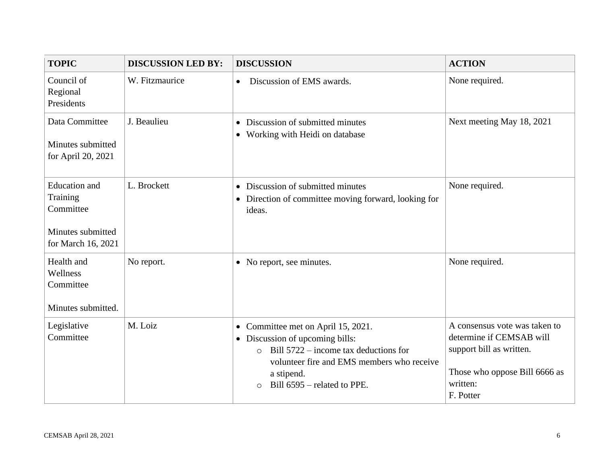| <b>TOPIC</b>                                                                             | <b>DISCUSSION LED BY:</b> | <b>DISCUSSION</b>                                                                                                                                                                                                                                | <b>ACTION</b>                                                                                                                                   |
|------------------------------------------------------------------------------------------|---------------------------|--------------------------------------------------------------------------------------------------------------------------------------------------------------------------------------------------------------------------------------------------|-------------------------------------------------------------------------------------------------------------------------------------------------|
| Council of<br>Regional<br>Presidents                                                     | W. Fitzmaurice            | Discussion of EMS awards.<br>$\bullet$                                                                                                                                                                                                           | None required.                                                                                                                                  |
| Data Committee<br>Minutes submitted<br>for April 20, 2021                                | J. Beaulieu               | Discussion of submitted minutes<br>$\bullet$<br>Working with Heidi on database<br>$\bullet$                                                                                                                                                      | Next meeting May 18, 2021                                                                                                                       |
| <b>Education</b> and<br>Training<br>Committee<br>Minutes submitted<br>for March 16, 2021 | L. Brockett               | • Discussion of submitted minutes<br>• Direction of committee moving forward, looking for<br>ideas.                                                                                                                                              | None required.                                                                                                                                  |
| Health and<br>Wellness<br>Committee<br>Minutes submitted.                                | No report.                | • No report, see minutes.                                                                                                                                                                                                                        | None required.                                                                                                                                  |
| Legislative<br>Committee                                                                 | M. Loiz                   | • Committee met on April 15, 2021.<br>Discussion of upcoming bills:<br>$\bullet$<br>Bill $5722$ – income tax deductions for<br>$\circ$<br>volunteer fire and EMS members who receive<br>a stipend.<br>Bill $6595$ – related to PPE.<br>$\bigcap$ | A consensus vote was taken to<br>determine if CEMSAB will<br>support bill as written.<br>Those who oppose Bill 6666 as<br>written:<br>F. Potter |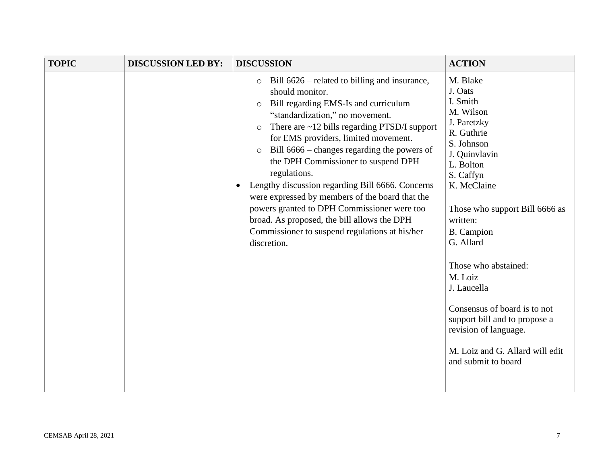| <b>TOPIC</b><br><b>DISCUSSION LED BY:</b> |
|-------------------------------------------|
|                                           |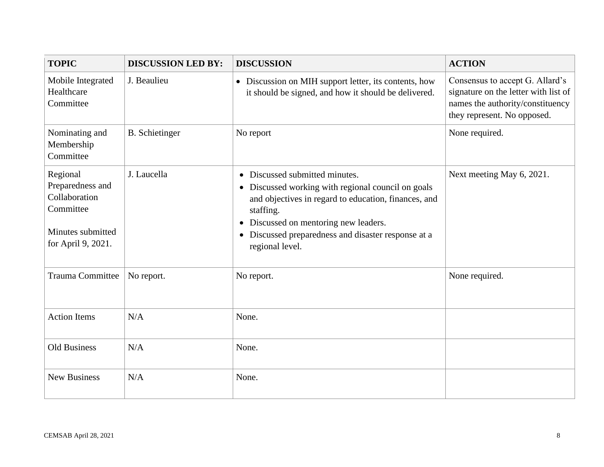| <b>TOPIC</b>                                                                                          | <b>DISCUSSION LED BY:</b> | <b>DISCUSSION</b>                                                                                                                                                                                                                                                                     | <b>ACTION</b>                                                                                                                              |
|-------------------------------------------------------------------------------------------------------|---------------------------|---------------------------------------------------------------------------------------------------------------------------------------------------------------------------------------------------------------------------------------------------------------------------------------|--------------------------------------------------------------------------------------------------------------------------------------------|
| Mobile Integrated<br>Healthcare<br>Committee                                                          | J. Beaulieu               | • Discussion on MIH support letter, its contents, how<br>it should be signed, and how it should be delivered.                                                                                                                                                                         | Consensus to accept G. Allard's<br>signature on the letter with list of<br>names the authority/constituency<br>they represent. No opposed. |
| Nominating and<br>Membership<br>Committee                                                             | <b>B.</b> Schietinger     | No report                                                                                                                                                                                                                                                                             | None required.                                                                                                                             |
| Regional<br>Preparedness and<br>Collaboration<br>Committee<br>Minutes submitted<br>for April 9, 2021. | J. Laucella               | Discussed submitted minutes.<br>$\bullet$<br>• Discussed working with regional council on goals<br>and objectives in regard to education, finances, and<br>staffing.<br>• Discussed on mentoring new leaders.<br>Discussed preparedness and disaster response at a<br>regional level. | Next meeting May 6, 2021.                                                                                                                  |
| Trauma Committee                                                                                      | No report.                | No report.                                                                                                                                                                                                                                                                            | None required.                                                                                                                             |
| <b>Action Items</b>                                                                                   | N/A                       | None.                                                                                                                                                                                                                                                                                 |                                                                                                                                            |
| <b>Old Business</b>                                                                                   | N/A                       | None.                                                                                                                                                                                                                                                                                 |                                                                                                                                            |
| <b>New Business</b>                                                                                   | N/A                       | None.                                                                                                                                                                                                                                                                                 |                                                                                                                                            |